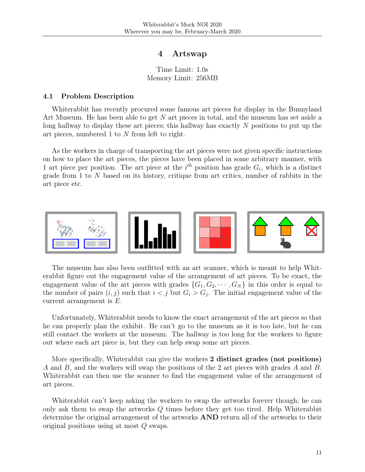# 4 Artswap

Time Limit: 1.0s Memory Limit: 256MB

#### 4.1 Problem Description

Whiterabbit has recently procured some famous art pieces for display in the Bunnyland Art Museum. He has been able to get N art pieces in total, and the museum has set aside a long hallway to display these art pieces; this hallway has exactly N positions to put up the art pieces, numbered 1 to N from left to right.

As the workers in charge of transporting the art pieces were not given specific instructions on how to place the art pieces, the pieces have been placed in some arbitrary manner, with 1 art piece per position. The art piece at the  $i^{th}$  position has grade  $G_i$ , which is a distinct grade from 1 to N based on its history, critique from art critics, number of rabbits in the art piece etc.



The museum has also been outfitted with an art scanner, which is meant to help Whiterabbit figure out the engagement value of the arrangement of art pieces. To be exact, the engagement value of the art pieces with grades  $\{G_1, G_2, \dots, G_N\}$  in this order is equal to the number of pairs  $(i, j)$  such that  $i < j$  but  $G_i > G_j$ . The initial engagement value of the current arrangement is E.

Unfortunately, Whiterabbit needs to know the exact arrangement of the art pieces so that he can properly plan the exhibit. He can't go to the museum as it is too late, but he can still contact the workers at the museum. The hallway is too long for the workers to figure out where each art piece is, but they can help swap some art pieces.

More specifically, Whiterabbit can give the workers 2 distinct grades (not positions) A and B, and the workers will swap the positions of the 2 art pieces with grades A and B. Whiterabbit can then use the scanner to find the engagement value of the arrangement of art pieces.

Whiterabbit can't keep asking the workers to swap the artworks forever though; he can only ask them to swap the artworks Q times before they get too tired. Help Whiterabbit determine the original arrangement of the artworks AND return all of the artworks to their original positions using at most Q swaps.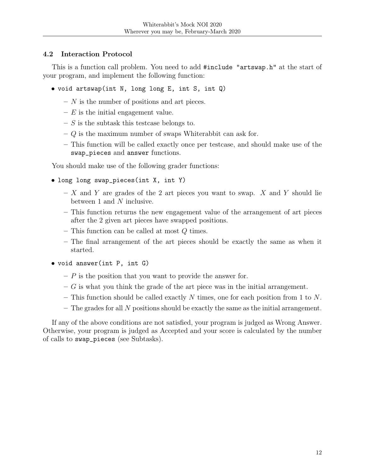# 4.2 Interaction Protocol

This is a function call problem. You need to add #include "artswap.h" at the start of your program, and implement the following function:

- void artswap(int N, long long E, int S, int Q)
	- $N$  is the number of positions and art pieces.
	- $-E$  is the initial engagement value.
	- $S$  is the subtask this testcase belongs to.
	- $-$  Q is the maximum number of swaps Whiterabbit can ask for.
	- This function will be called exactly once per testcase, and should make use of the swap\_pieces and answer functions.

You should make use of the following grader functions:

- long long swap\_pieces(int X, int Y)
	- $X$  and Y are grades of the 2 art pieces you want to swap. X and Y should lie between 1 and  $N$  inclusive.
	- This function returns the new engagement value of the arrangement of art pieces after the 2 given art pieces have swapped positions.
	- $-$  This function can be called at most  $Q$  times.
	- The final arrangement of the art pieces should be exactly the same as when it started.
- void answer(int P, int G)
	- $P$  is the position that you want to provide the answer for.
	- $-G$  is what you think the grade of the art piece was in the initial arrangement.
	- This function should be called exactly N times, one for each position from 1 to N.
	- $-$  The grades for all N positions should be exactly the same as the initial arrangement.

If any of the above conditions are not satisfied, your program is judged as Wrong Answer. Otherwise, your program is judged as Accepted and your score is calculated by the number of calls to swap\_pieces (see Subtasks).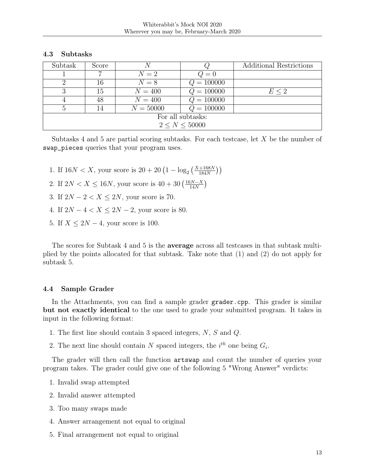### 4.3 Subtasks

| Subtask           | Score | N           |              | Additional Restrictions |  |  |  |
|-------------------|-------|-------------|--------------|-------------------------|--|--|--|
|                   |       | $N=2$       | $Q=0$        |                         |  |  |  |
|                   | 16    | $N=8$       | $Q = 100000$ |                         |  |  |  |
| 3                 | 15    | $N = 400$   | $Q = 100000$ | $E \leq 2$              |  |  |  |
|                   | 48    | $N = 400$   | $Q = 100000$ |                         |  |  |  |
|                   | 14    | $N = 50000$ | $Q = 100000$ |                         |  |  |  |
| For all subtasks: |       |             |              |                         |  |  |  |
| 2 < N < 50000     |       |             |              |                         |  |  |  |

Subtasks 4 and 5 are partial scoring subtasks. For each testcase, let  $X$  be the number of swap\_pieces queries that your program uses.

- 1. If  $16N < X$ , your score is  $20 + 20 \left(1 \log_2 \left(\frac{X + 168N}{184N}\right)\right)$
- 2. If  $2N < X \le 16N$ , your score is  $40 + 30 \left( \frac{16N-X}{14N} \right)$  $\frac{3N-X}{14N}$
- 3. If  $2N 2 < X \leq 2N$ , your score is 70.
- 4. If  $2N 4 < X \le 2N 2$ , your score is 80.
- 5. If  $X \leq 2N 4$ , your score is 100.

The scores for Subtask 4 and 5 is the average across all testcases in that subtask multiplied by the points allocated for that subtask. Take note that (1) and (2) do not apply for subtask 5.

## 4.4 Sample Grader

In the Attachments, you can find a sample grader grader.cpp. This grader is similar but not exactly identical to the one used to grade your submitted program. It takes in input in the following format:

- 1. The first line should contain 3 spaced integers,  $N$ ,  $S$  and  $Q$ .
- 2. The next line should contain N spaced integers, the  $i^{th}$  one being  $G_i$ .

The grader will then call the function artswap and count the number of queries your program takes. The grader could give one of the following 5 "Wrong Answer" verdicts:

- 1. Invalid swap attempted
- 2. Invalid answer attempted
- 3. Too many swaps made
- 4. Answer arrangement not equal to original
- 5. Final arrangement not equal to original